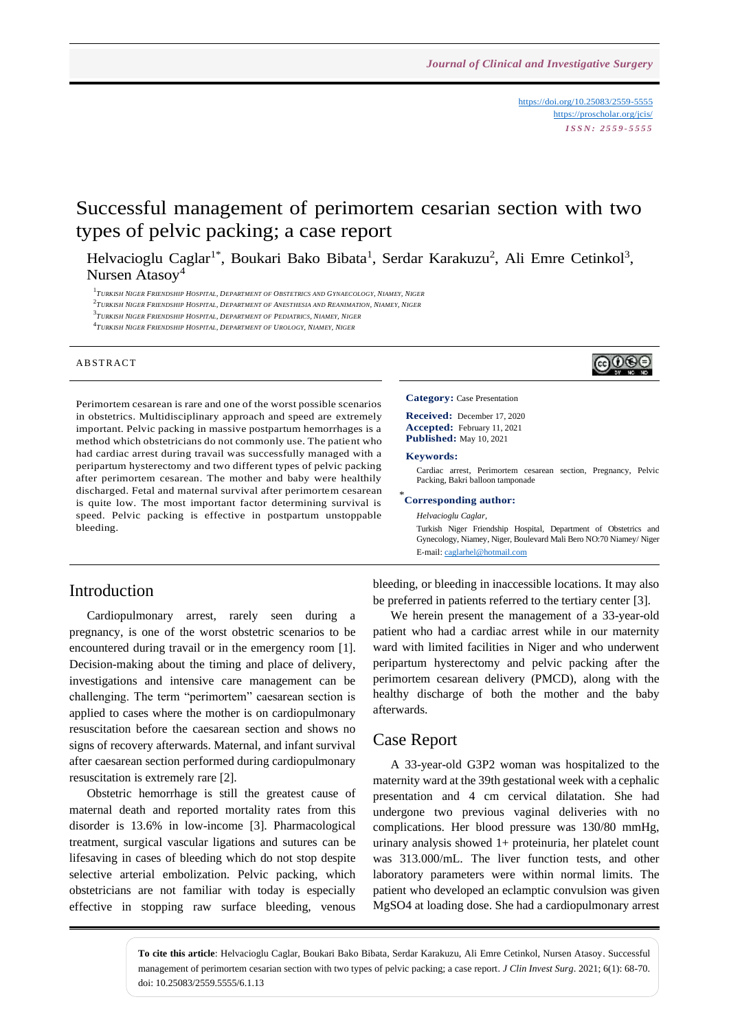<https://doi.org/10.25083/2559-5555> <https://proscholar.org/jcis/> *I S S N : 2 5 5 9 - 5 5 5 5*

ලෙ⊙⊛ල

# Successful management of perimortem cesarian section with two types of pelvic packing; a case report

Helvacioglu Caglar<sup>1\*</sup>, Boukari Bako Bibata<sup>1</sup>, Serdar Karakuzu<sup>2</sup>, Ali Emre Cetinkol<sup>3</sup>, Nursen Atasoy<sup>4</sup>

 $^1T$ urkish Niger Friendship Hospital, Department of Obstetrics and Gynaecology, Niamey, Niger

<sup>2</sup>Turkish Niger Friendship Hospital, Department of Anesthesia and Reanimation, Niamey, Niger

3 *TURKISH NIGER FRIENDSHIP HOSPITAL, DEPARTMENT OF PEDIATRICS, NIAMEY, NIGER*

4 *TURKISH NIGER FRIENDSHIP HOSPITAL, DEPARTMENT OF UROLOGY, NIAMEY, NIGER*

#### **ABSTRACT**

Perimortem cesarean is rare and one of the worst possible scenarios in obstetrics. Multidisciplinary approach and speed are extremely important. Pelvic packing in massive postpartum hemorrhages is a method which obstetricians do not commonly use. The patient who had cardiac arrest during travail was successfully managed with a peripartum hysterectomy and two different types of pelvic packing after perimortem cesarean. The mother and baby were healthily discharged. Fetal and maternal survival after perimortem cesarean is quite low. The most important factor determining survival is speed. Pelvic packing is effective in postpartum unstoppable bleeding.

#### Introduction

Cardiopulmonary arrest, rarely seen during a pregnancy, is one of the worst obstetric scenarios to be encountered during travail or in the emergency room [1]. Decision-making about the timing and place of delivery, investigations and intensive care management can be challenging. The term "perimortem" caesarean section is applied to cases where the mother is on cardiopulmonary resuscitation before the caesarean section and shows no signs of recovery afterwards. Maternal, and infant survival after caesarean section performed during cardiopulmonary resuscitation is extremely rare [2].

Obstetric hemorrhage is still the greatest cause of maternal death and reported mortality rates from this disorder is 13.6% in low-income [3]. Pharmacological treatment, surgical vascular ligations and sutures can be lifesaving in cases of bleeding which do not stop despite selective arterial embolization. Pelvic packing, which obstetricians are not familiar with today is especially effective in stopping raw surface bleeding, venous

**Category:** Case Presentation

**Received:** December 17, 2020 **Accepted:** February 11, 2021 **Published:** May 10, 2021

#### **Keywords:**

Cardiac arrest, Perimortem cesarean section, Pregnancy, Pelvic Packing, Bakri balloon tamponade

#### \* **Corresponding author:**

*Helvacioglu Caglar,* Turkish Niger Friendship Hospital, Department of Obstetrics and Gynecology, Niamey, Niger, Boulevard Mali Bero NO:70 Niamey/ Niger E-mail[: caglarhel@hotmail.com](mailto:caglarhel@hotmail.com)

bleeding, or bleeding in inaccessible locations. It may also be preferred in patients referred to the tertiary center [3].

We herein present the management of a 33-year-old patient who had a cardiac arrest while in our maternity ward with limited facilities in Niger and who underwent peripartum hysterectomy and pelvic packing after the perimortem cesarean delivery (PMCD), along with the healthy discharge of both the mother and the baby afterwards.

#### Case Report

A 33-year-old G3P2 woman was hospitalized to the maternity ward at the 39th gestational week with a cephalic presentation and 4 cm cervical dilatation. She had undergone two previous vaginal deliveries with no complications. Her blood pressure was 130/80 mmHg, urinary analysis showed 1+ proteinuria, her platelet count was 313.000/mL. The liver function tests, and other laboratory parameters were within normal limits. The patient who developed an eclamptic convulsion was given MgSO4 at loading dose. She had a cardiopulmonary arrest

**To cite this article**: Helvacioglu Caglar, Boukari Bako Bibata, Serdar Karakuzu, Ali Emre Cetinkol, Nursen Atasoy. Successful management of perimortem cesarian section with two types of pelvic packing; a case report. *J Clin Invest Surg*. 2021; 6(1): 68-70. doi: 10.25083/2559.5555/6.1.13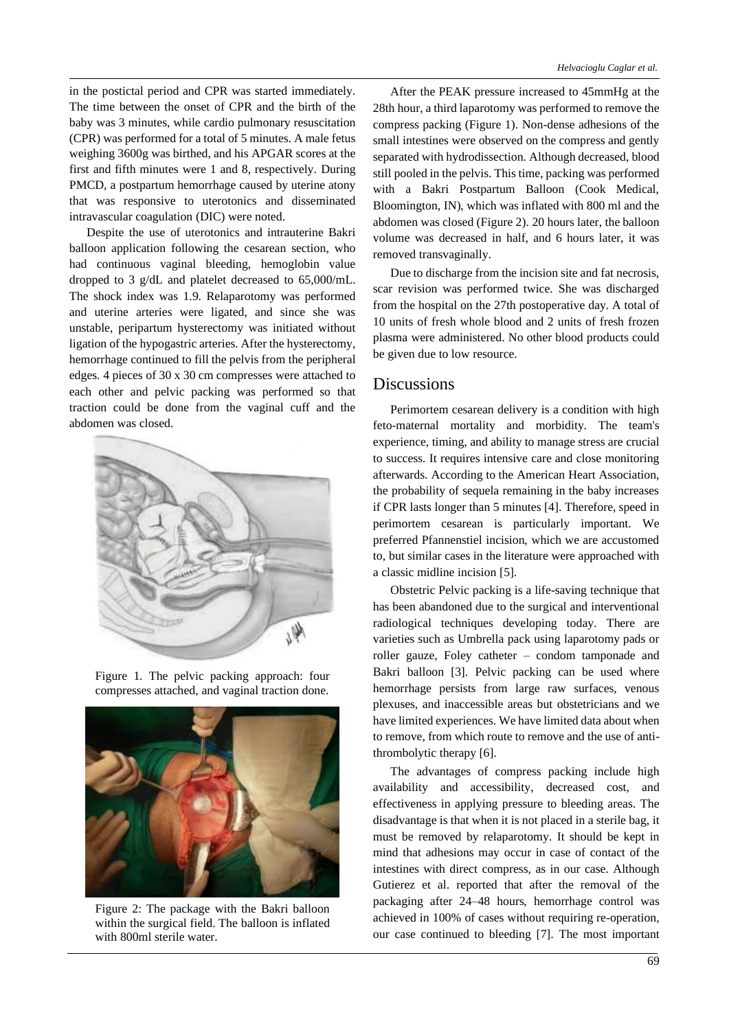in the postictal period and CPR was started immediately. The time between the onset of CPR and the birth of the baby was 3 minutes, while cardio pulmonary resuscitation (CPR) was performed for a total of 5 minutes. A male fetus weighing 3600g was birthed, and his APGAR scores at the first and fifth minutes were 1 and 8, respectively. During PMCD, a postpartum hemorrhage caused by uterine atony that was responsive to uterotonics and disseminated intravascular coagulation (DIC) were noted.

Despite the use of uterotonics and intrauterine Bakri balloon application following the cesarean section, who had continuous vaginal bleeding, hemoglobin value dropped to 3 g/dL and platelet decreased to 65,000/mL. The shock index was 1.9. Relaparotomy was performed and uterine arteries were ligated, and since she was unstable, peripartum hysterectomy was initiated without ligation of the hypogastric arteries. After the hysterectomy, hemorrhage continued to fill the pelvis from the peripheral edges. 4 pieces of 30 x 30 cm compresses were attached to each other and pelvic packing was performed so that traction could be done from the vaginal cuff and the abdomen was closed.



Figure 1. The pelvic packing approach: four compresses attached, and vaginal traction done.



Figure 2: The package with the Bakri balloon within the surgical field. The balloon is inflated with 800ml sterile water.

After the PEAK pressure increased to 45mmHg at the 28th hour, a third laparotomy was performed to remove the compress packing (Figure 1). Non-dense adhesions of the small intestines were observed on the compress and gently separated with hydrodissection. Although decreased, blood still pooled in the pelvis. This time, packing was performed with a Bakri Postpartum Balloon (Cook Medical, Bloomington, IN), which was inflated with 800 ml and the abdomen was closed (Figure 2). 20 hours later, the balloon volume was decreased in half, and 6 hours later, it was removed transvaginally.

Due to discharge from the incision site and fat necrosis, scar revision was performed twice. She was discharged from the hospital on the 27th postoperative day. A total of 10 units of fresh whole blood and 2 units of fresh frozen plasma were administered. No other blood products could be given due to low resource.

#### Discussions

Perimortem cesarean delivery is a condition with high feto-maternal mortality and morbidity. The team's experience, timing, and ability to manage stress are crucial to success. It requires intensive care and close monitoring afterwards. According to the American Heart Association, the probability of sequela remaining in the baby increases if CPR lasts longer than 5 minutes [4]. Therefore, speed in perimortem cesarean is particularly important. We preferred Pfannenstiel incision, which we are accustomed to, but similar cases in the literature were approached with a classic midline incision [5].

Obstetric Pelvic packing is a life-saving technique that has been abandoned due to the surgical and interventional radiological techniques developing today. There are varieties such as Umbrella pack using laparotomy pads or roller gauze, Foley catheter – condom tamponade and Bakri balloon [3]. Pelvic packing can be used where hemorrhage persists from large raw surfaces, venous plexuses, and inaccessible areas but obstetricians and we have limited experiences. We have limited data about when to remove, from which route to remove and the use of antithrombolytic therapy [6].

The advantages of compress packing include high availability and accessibility, decreased cost, and effectiveness in applying pressure to bleeding areas. The disadvantage is that when it is not placed in a sterile bag, it must be removed by relaparotomy. It should be kept in mind that adhesions may occur in case of contact of the intestines with direct compress, as in our case. Although Gutierez et al. reported that after the removal of the packaging after 24–48 hours, hemorrhage control was achieved in 100% of cases without requiring re-operation, our case continued to bleeding [7]. The most important